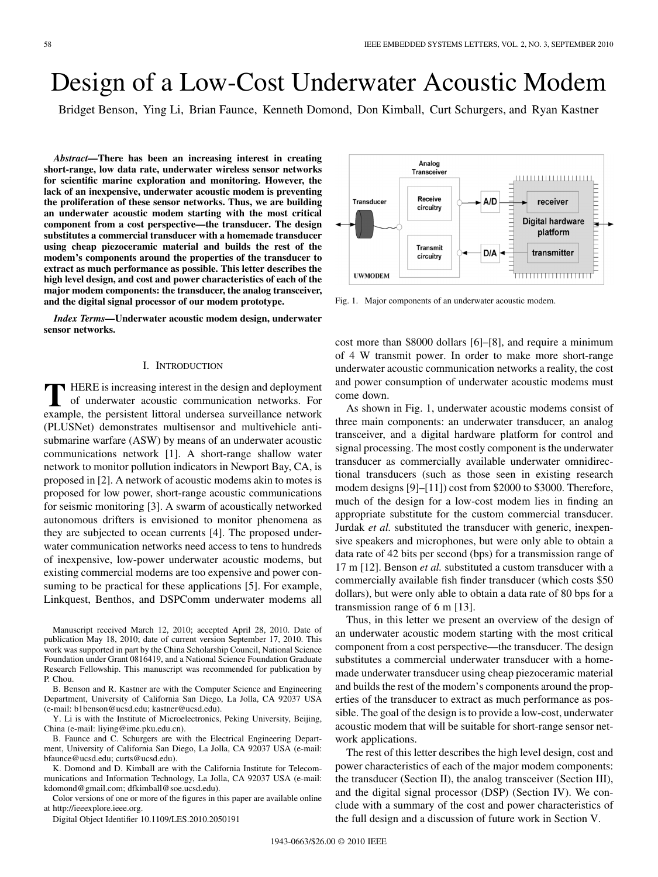# Design of a Low-Cost Underwater Acoustic Modem

Bridget Benson, Ying Li, Brian Faunce, Kenneth Domond, Don Kimball, Curt Schurgers, and Ryan Kastner

*Abstract—***There has been an increasing interest in creating short-range, low data rate, underwater wireless sensor networks for scientific marine exploration and monitoring. However, the lack of an inexpensive, underwater acoustic modem is preventing the proliferation of these sensor networks. Thus, we are building an underwater acoustic modem starting with the most critical component from a cost perspective—the transducer. The design substitutes a commercial transducer with a homemade transducer using cheap piezoceramic material and builds the rest of the modem's components around the properties of the transducer to extract as much performance as possible. This letter describes the high level design, and cost and power characteristics of each of the major modem components: the transducer, the analog transceiver, and the digital signal processor of our modem prototype.**

*Index Terms—***Underwater acoustic modem design, underwater sensor networks.**

#### I. INTRODUCTION

**T** HERE is increasing interest in the design and deployment<br>of underwater acoustic communication networks. For example, the persistent littoral undersea surveillance network (PLUSNet) demonstrates multisensor and multivehicle antisubmarine warfare (ASW) by means of an underwater acoustic communications network [1]. A short-range shallow water network to monitor pollution indicators in Newport Bay, CA, is proposed in [2]. A network of acoustic modems akin to motes is proposed for low power, short-range acoustic communications for seismic monitoring [3]. A swarm of acoustically networked autonomous drifters is envisioned to monitor phenomena as they are subjected to ocean currents [4]. The proposed underwater communication networks need access to tens to hundreds of inexpensive, low-power underwater acoustic modems, but existing commercial modems are too expensive and power consuming to be practical for these applications [5]. For example, Linkquest, Benthos, and DSPComm underwater modems all

Manuscript received March 12, 2010; accepted April 28, 2010. Date of publication May 18, 2010; date of current version September 17, 2010. This work was supported in part by the China Scholarship Council, National Science Foundation under Grant 0816419, and a National Science Foundation Graduate Research Fellowship. This manuscript was recommended for publication by P. Chou.

B. Benson and R. Kastner are with the Computer Science and Engineering Department, University of California San Diego, La Jolla, CA 92037 USA (e-mail: b1benson@ucsd.edu; kastner@ucsd.edu).

Y. Li is with the Institute of Microelectronics, Peking University, Beijing, China (e-mail: liying@ime.pku.edu.cn).

B. Faunce and C. Schurgers are with the Electrical Engineering Department, University of California San Diego, La Jolla, CA 92037 USA (e-mail: bfaunce@ucsd.edu; curts@ucsd.edu).

K. Domond and D. Kimball are with the California Institute for Telecommunications and Information Technology, La Jolla, CA 92037 USA (e-mail: kdomond@gmail.com; dfkimball@soe.ucsd.edu).

Color versions of one or more of the figures in this paper are available online at http://ieeexplore.ieee.org.

Digital Object Identifier 10.1109/LES.2010.2050191

Analog Transceiver <u>|| || || || || || || || || || || ||</u> Receive Transducer A/D receiver circuitry **Digital hardware** ◛ platform **Transmit** D/A transmitter circuitry **UWMODEM** 

Fig. 1. Major components of an underwater acoustic modem.

cost more than \$8000 dollars [6]–[8], and require a minimum of 4 W transmit power. In order to make more short-range underwater acoustic communication networks a reality, the cost and power consumption of underwater acoustic modems must come down.

As shown in Fig. 1, underwater acoustic modems consist of three main components: an underwater transducer, an analog transceiver, and a digital hardware platform for control and signal processing. The most costly component is the underwater transducer as commercially available underwater omnidirectional transducers (such as those seen in existing research modem designs [9]–[11]) cost from \$2000 to \$3000. Therefore, much of the design for a low-cost modem lies in finding an appropriate substitute for the custom commercial transducer. Jurdak *et al.* substituted the transducer with generic, inexpensive speakers and microphones, but were only able to obtain a data rate of 42 bits per second (bps) for a transmission range of 17 m [12]. Benson *et al.* substituted a custom transducer with a commercially available fish finder transducer (which costs \$50 dollars), but were only able to obtain a data rate of 80 bps for a transmission range of 6 m [13].

Thus, in this letter we present an overview of the design of an underwater acoustic modem starting with the most critical component from a cost perspective—the transducer. The design substitutes a commercial underwater transducer with a homemade underwater transducer using cheap piezoceramic material and builds the rest of the modem's components around the properties of the transducer to extract as much performance as possible. The goal of the design is to provide a low-cost, underwater acoustic modem that will be suitable for short-range sensor network applications.

The rest of this letter describes the high level design, cost and power characteristics of each of the major modem components: the transducer (Section II), the analog transceiver (Section III), and the digital signal processor (DSP) (Section IV). We conclude with a summary of the cost and power characteristics of the full design and a discussion of future work in Section V.

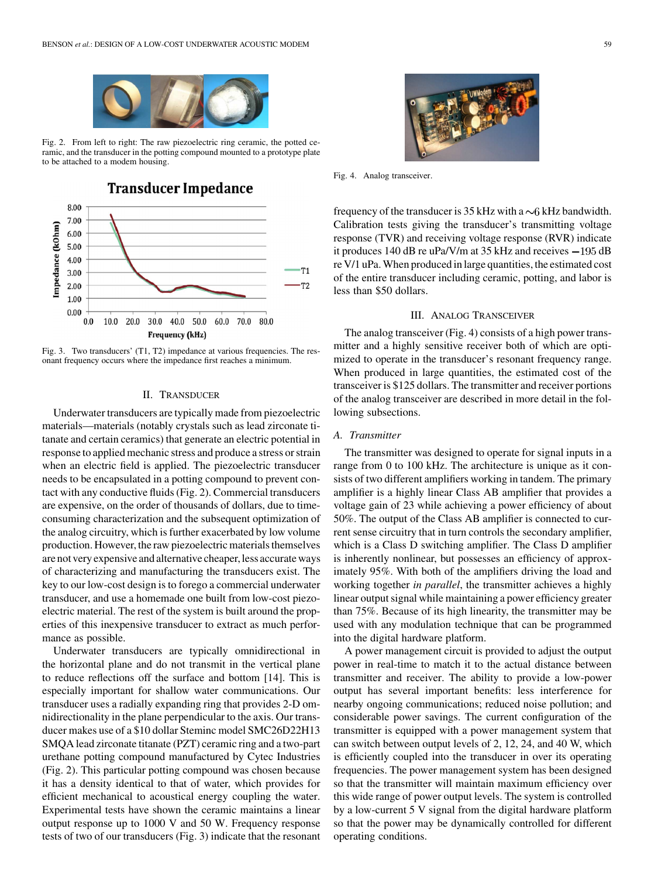

Fig. 2. From left to right: The raw piezoelectric ring ceramic, the potted ceramic, and the transducer in the potting compound mounted to a prototype plate to be attached to a modem housing.

## **Transducer Impedance**



Fig. 3. Two transducers' (T1, T2) impedance at various frequencies. The resonant frequency occurs where the impedance first reaches a minimum.

### II. TRANSDUCER

Underwater transducers are typically made from piezoelectric materials—materials (notably crystals such as lead zirconate titanate and certain ceramics) that generate an electric potential in response to applied mechanic stress and produce a stress or strain when an electric field is applied. The piezoelectric transducer needs to be encapsulated in a potting compound to prevent contact with any conductive fluids (Fig. 2). Commercial transducers are expensive, on the order of thousands of dollars, due to timeconsuming characterization and the subsequent optimization of the analog circuitry, which is further exacerbated by low volume production. However, the raw piezoelectric materials themselves are not very expensive and alternative cheaper, less accurate ways of characterizing and manufacturing the transducers exist. The key to our low-cost design is to forego a commercial underwater transducer, and use a homemade one built from low-cost piezoelectric material. The rest of the system is built around the properties of this inexpensive transducer to extract as much performance as possible.

Underwater transducers are typically omnidirectional in the horizontal plane and do not transmit in the vertical plane to reduce reflections off the surface and bottom [14]. This is especially important for shallow water communications. Our transducer uses a radially expanding ring that provides 2-D omnidirectionality in the plane perpendicular to the axis. Our transducer makes use of a \$10 dollar Steminc model SMC26D22H13 SMQA lead zirconate titanate (PZT) ceramic ring and a two-part urethane potting compound manufactured by Cytec Industries (Fig. 2). This particular potting compound was chosen because it has a density identical to that of water, which provides for efficient mechanical to acoustical energy coupling the water. Experimental tests have shown the ceramic maintains a linear output response up to 1000 V and 50 W. Frequency response tests of two of our transducers (Fig. 3) indicate that the resonant



Fig. 4. Analog transceiver.

frequency of the transducer is 35 kHz with a  $\sim$  6 kHz bandwidth. Calibration tests giving the transducer's transmitting voltage response (TVR) and receiving voltage response (RVR) indicate it produces 140 dB re uPa/V/m at 35 kHz and receives  $-195$  dB re V/1 uPa.When produced in large quantities, the estimated cost of the entire transducer including ceramic, potting, and labor is less than \$50 dollars.

#### III. ANALOG TRANSCEIVER

The analog transceiver (Fig. 4) consists of a high power transmitter and a highly sensitive receiver both of which are optimized to operate in the transducer's resonant frequency range. When produced in large quantities, the estimated cost of the transceiver is \$125 dollars. The transmitter and receiver portions of the analog transceiver are described in more detail in the following subsections.

#### *A. Transmitter*

The transmitter was designed to operate for signal inputs in a range from 0 to 100 kHz. The architecture is unique as it consists of two different amplifiers working in tandem. The primary amplifier is a highly linear Class AB amplifier that provides a voltage gain of 23 while achieving a power efficiency of about 50%. The output of the Class AB amplifier is connected to current sense circuitry that in turn controls the secondary amplifier, which is a Class D switching amplifier. The Class D amplifier is inherently nonlinear, but possesses an efficiency of approximately 95%. With both of the amplifiers driving the load and working together *in parallel*, the transmitter achieves a highly linear output signal while maintaining a power efficiency greater than 75%. Because of its high linearity, the transmitter may be used with any modulation technique that can be programmed into the digital hardware platform.

A power management circuit is provided to adjust the output power in real-time to match it to the actual distance between transmitter and receiver. The ability to provide a low-power output has several important benefits: less interference for nearby ongoing communications; reduced noise pollution; and considerable power savings. The current configuration of the transmitter is equipped with a power management system that can switch between output levels of 2, 12, 24, and 40 W, which is efficiently coupled into the transducer in over its operating frequencies. The power management system has been designed so that the transmitter will maintain maximum efficiency over this wide range of power output levels. The system is controlled by a low-current 5 V signal from the digital hardware platform so that the power may be dynamically controlled for different operating conditions.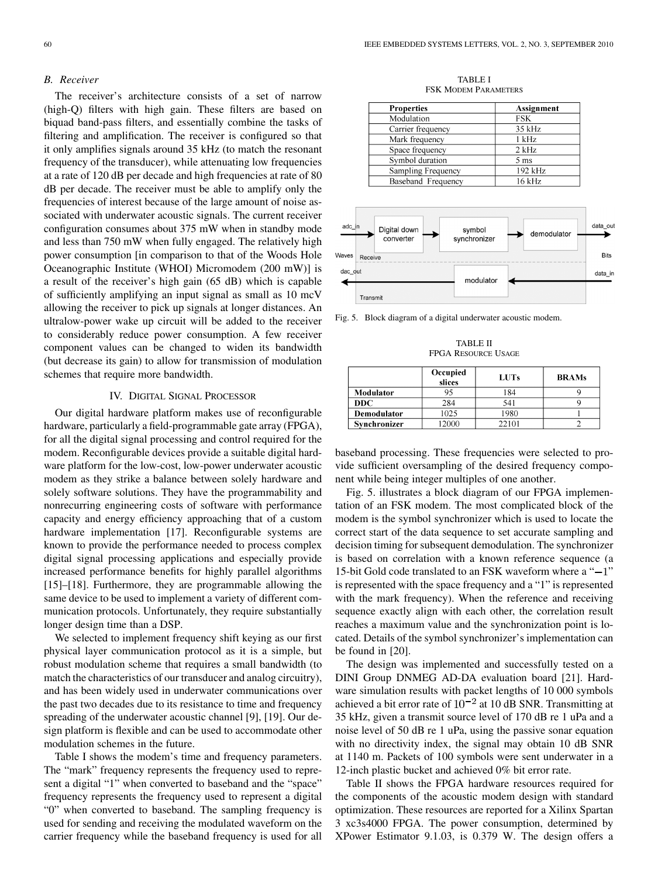#### *B. Receiver*

The receiver's architecture consists of a set of narrow (high-Q) filters with high gain. These filters are based on biquad band-pass filters, and essentially combine the tasks of filtering and amplification. The receiver is configured so that it only amplifies signals around 35 kHz (to match the resonant frequency of the transducer), while attenuating low frequencies at a rate of 120 dB per decade and high frequencies at rate of 80 dB per decade. The receiver must be able to amplify only the frequencies of interest because of the large amount of noise associated with underwater acoustic signals. The current receiver configuration consumes about 375 mW when in standby mode and less than 750 mW when fully engaged. The relatively high power consumption [in comparison to that of the Woods Hole Oceanographic Institute (WHOI) Micromodem (200 mW)] is a result of the receiver's high gain (65 dB) which is capable of sufficiently amplifying an input signal as small as 10 mcV allowing the receiver to pick up signals at longer distances. An ultralow-power wake up circuit will be added to the receiver to considerably reduce power consumption. A few receiver component values can be changed to widen its bandwidth (but decrease its gain) to allow for transmission of modulation schemes that require more bandwidth.

### IV. DIGITAL SIGNAL PROCESSOR

Our digital hardware platform makes use of reconfigurable hardware, particularly a field-programmable gate array (FPGA), for all the digital signal processing and control required for the modem. Reconfigurable devices provide a suitable digital hardware platform for the low-cost, low-power underwater acoustic modem as they strike a balance between solely hardware and solely software solutions. They have the programmability and nonrecurring engineering costs of software with performance capacity and energy efficiency approaching that of a custom hardware implementation [17]. Reconfigurable systems are known to provide the performance needed to process complex digital signal processing applications and especially provide increased performance benefits for highly parallel algorithms [15]–[18]. Furthermore, they are programmable allowing the same device to be used to implement a variety of different communication protocols. Unfortunately, they require substantially longer design time than a DSP.

We selected to implement frequency shift keying as our first physical layer communication protocol as it is a simple, but robust modulation scheme that requires a small bandwidth (to match the characteristics of our transducer and analog circuitry), and has been widely used in underwater communications over the past two decades due to its resistance to time and frequency spreading of the underwater acoustic channel [9], [19]. Our design platform is flexible and can be used to accommodate other modulation schemes in the future.

Table I shows the modem's time and frequency parameters. The "mark" frequency represents the frequency used to represent a digital "1" when converted to baseband and the "space" frequency represents the frequency used to represent a digital "0" when converted to baseband. The sampling frequency is used for sending and receiving the modulated waveform on the carrier frequency while the baseband frequency is used for all

TABLE I FSK MODEM PARAMETERS

| <b>Properties</b>  | Assignment |
|--------------------|------------|
| Modulation         | <b>FSK</b> |
| Carrier frequency  | $35$ kHz   |
| Mark frequency     | 1 kHz      |
| Space frequency    | $2$ kHz    |
| Symbol duration    | 5 ms       |
| Sampling Frequency | 192 kHz    |
| Baseband Frequency | 16 kHz     |



Fig. 5. Block diagram of a digital underwater acoustic modem.

TABLE II FPGA RESOURCE USAGE

|              | Occupied<br>slices | <b>LUTs</b> | <b>BRAMs</b> |
|--------------|--------------------|-------------|--------------|
| Modulator    | 95                 | 184         |              |
| DDC.         | 284                | 541         |              |
| Demodulator  | 1025               | 1980        |              |
| Synchronizer | 2000               | 22101       |              |

baseband processing. These frequencies were selected to provide sufficient oversampling of the desired frequency component while being integer multiples of one another.

Fig. 5. illustrates a block diagram of our FPGA implementation of an FSK modem. The most complicated block of the modem is the symbol synchronizer which is used to locate the correct start of the data sequence to set accurate sampling and decision timing for subsequent demodulation. The synchronizer is based on correlation with a known reference sequence (a 15-bit Gold code translated to an FSK waveform where a " $-1$ " is represented with the space frequency and a "1" is represented with the mark frequency). When the reference and receiving sequence exactly align with each other, the correlation result reaches a maximum value and the synchronization point is located. Details of the symbol synchronizer's implementation can be found in [20].

The design was implemented and successfully tested on a DINI Group DNMEG AD-DA evaluation board [21]. Hardware simulation results with packet lengths of 10 000 symbols achieved a bit error rate of  $10^{-2}$  at 10 dB SNR. Transmitting at 35 kHz, given a transmit source level of 170 dB re 1 uPa and a noise level of 50 dB re 1 uPa, using the passive sonar equation with no directivity index, the signal may obtain 10 dB SNR at 1140 m. Packets of 100 symbols were sent underwater in a 12-inch plastic bucket and achieved 0% bit error rate.

Table II shows the FPGA hardware resources required for the components of the acoustic modem design with standard optimization. These resources are reported for a Xilinx Spartan 3 xc3s4000 FPGA. The power consumption, determined by XPower Estimator 9.1.03, is 0.379 W. The design offers a